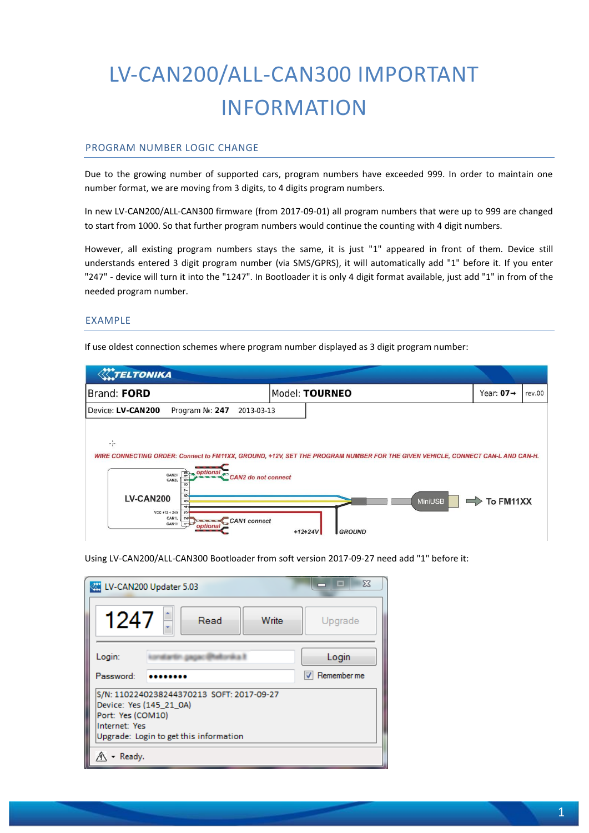## LV-CAN200/ALL-CAN300 IMPORTANT INFORMATION

## PROGRAM NUMBER LOGIC CHANGE

Due to the growing number of supported cars, program numbers have exceeded 999. In order to maintain one number format, we are moving from 3 digits, to 4 digits program numbers.

In new LV-CAN200/ALL-CAN300 firmware (from 2017-09-01) all program numbers that were up to 999 are changed to start from 1000. So that further program numbers would continue the counting with 4 digit numbers.

However, all existing program numbers stays the same, it is just "1" appeared in front of them. Device still understands entered 3 digit program number (via SMS/GPRS), it will automatically add "1" before it. If you enter "247" - device will turn it into the "1247". In Bootloader it is only 4 digit format available, just add "1" in from of the needed program number.

## EXAMPLE

If use oldest connection schemes where program number displayed as 3 digit program number:



Using LV-CAN200/ALL-CAN300 Bootloader from soft version 2017-09-27 need add "1" before it:

| ΣŜ<br>ш<br>LV-CAN200 Updater 5.03<br>≪.                                                                                                              |               |                  |
|------------------------------------------------------------------------------------------------------------------------------------------------------|---------------|------------------|
| 1247                                                                                                                                                 | Read<br>Write | Upgrade          |
| Login:                                                                                                                                               |               | Login            |
| Password:                                                                                                                                            |               | Remember me<br>⊽ |
| S/N: 1102240238244370213 SOFT: 2017-09-27<br>Device: Yes (145 21 0A)<br>Port: Yes (COM10)<br>Internet: Yes<br>Upgrade: Login to get this information |               |                  |
| Ready.                                                                                                                                               |               |                  |